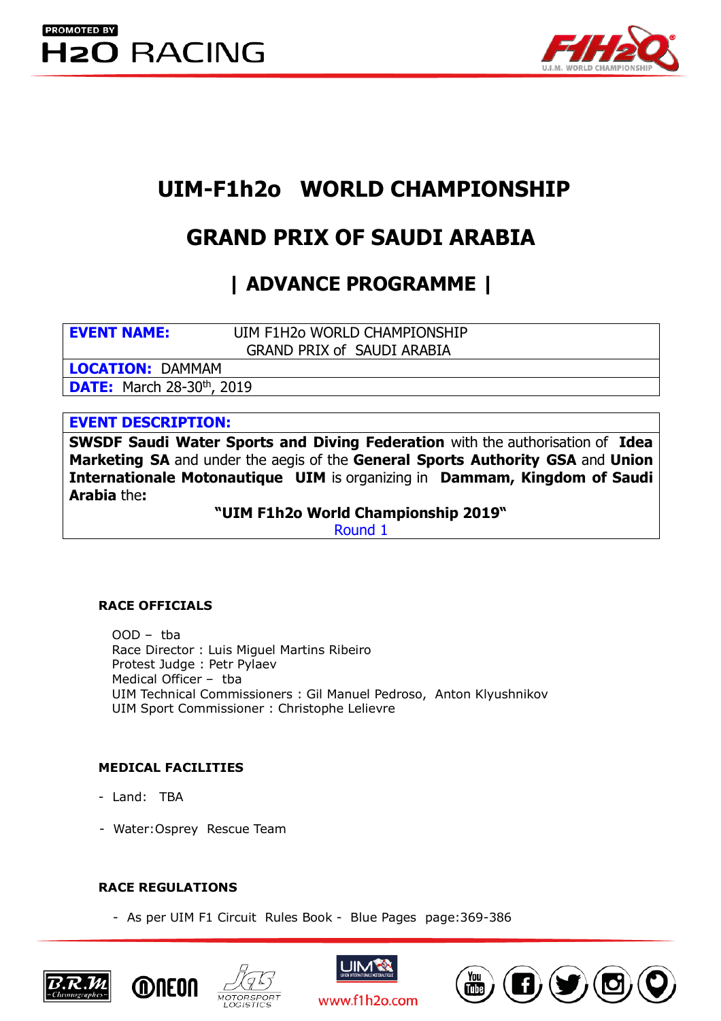

# **UIM-F1h2o WORLD CHAMPIONSHIP**

# **GRAND PRIX OF SAUDI ARABIA**

**| ADVANCE PROGRAMME |**

**EVENT NAME:** UIM F1H2o WORLD CHAMPIONSHIP GRAND PRIX of SAUDI ARABIA

**LOCATION:** DAMMAM **DATE:** March 28-30<sup>th</sup>, 2019

# **EVENT DESCRIPTION:**

**SWSDF Saudi Water Sports and Diving Federation** with the authorisation of **Idea Marketing SA** and under the aegis of the **General Sports Authority GSA** and **Union Internationale Motonautique UIM** is organizing in **Dammam, Kingdom of Saudi Arabia** the**:**

**"UIM F1h2o World Championship 2019"** 

Round 1

# **RACE OFFICIALS**

OOD – tba Race Director : Luis Miguel Martins Ribeiro Protest Judge : Petr Pylaev Medical Officer – tba UIM Technical Commissioners : Gil Manuel Pedroso, Anton Klyushnikov UIM Sport Commissioner : Christophe Lelievre

# **MEDICAL FACILITIES**

- Land: TBA
- Water:Osprey Rescue Team

# **RACE REGULATIONS**

- As per UIM F1 Circuit Rules Book - Blue Pages page:369-386







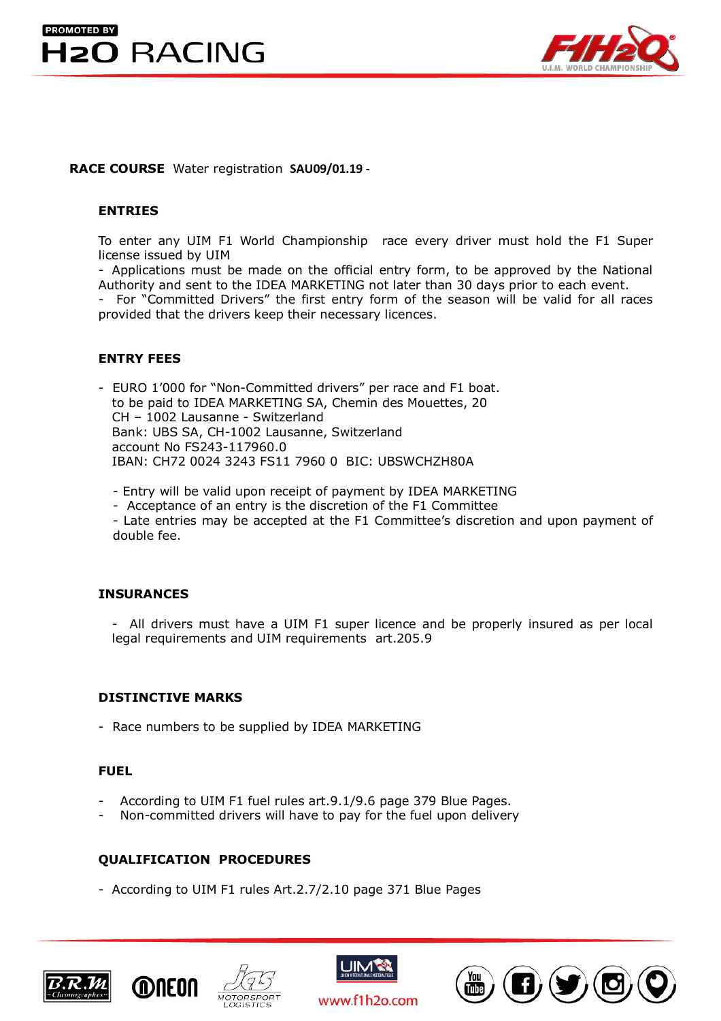



# **RACE COURSE** Water registration **SAU09/01.19 -**

# **ENTRIES**

To enter any UIM F1 World Championship race every driver must hold the F1 Super license issued by UIM

- Applications must be made on the official entry form, to be approved by the National Authority and sent to the IDEA MARKETING not later than 30 days prior to each event.

- For "Committed Drivers" the first entry form of the season will be valid for all races provided that the drivers keep their necessary licences.

# **ENTRY FEES**

- EURO 1'000 for "Non-Committed drivers" per race and F1 boat. to be paid to IDEA MARKETING SA, Chemin des Mouettes, 20 CH – 1002 Lausanne - Switzerland Bank: UBS SA, CH-1002 Lausanne, Switzerland account No FS243-117960.0 IBAN: CH72 0024 3243 FS11 7960 0 BIC: UBSWCHZH80A

- Entry will be valid upon receipt of payment by IDEA MARKETING

- Acceptance of an entry is the discretion of the F1 Committee

- Late entries may be accepted at the F1 Committee's discretion and upon payment of double fee.

## **INSURANCES**

- All drivers must have a UIM F1 super licence and be properly insured as per local legal requirements and UIM requirements art.205.9

## **DISTINCTIVE MARKS**

- Race numbers to be supplied by IDEA MARKETING

#### **FUEL**

- According to UIM F1 fuel rules art.9.1/9.6 page 379 Blue Pages.
- Non-committed drivers will have to pay for the fuel upon delivery

# **QUALIFICATION PROCEDURES**

- According to UIM F1 rules Art.2.7/2.10 page 371 Blue Pages







www.f1h2o.com

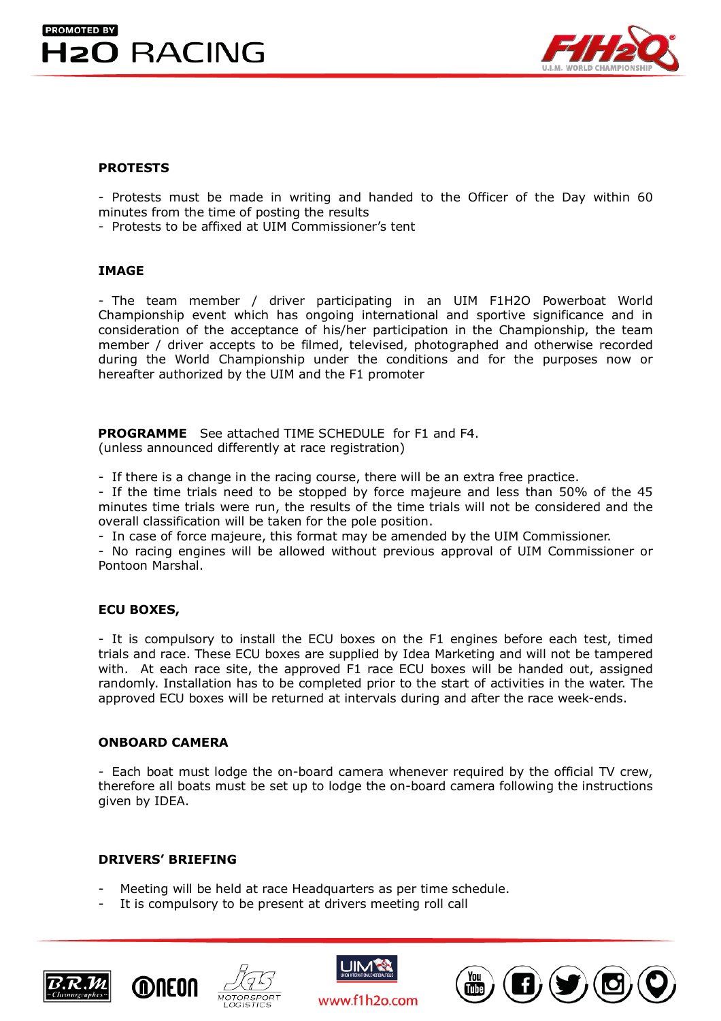



# **PROTESTS**

- Protests must be made in writing and handed to the Officer of the Day within 60 minutes from the time of posting the results

- Protests to be affixed at UIM Commissioner's tent

#### **IMAGE**

- The team member / driver participating in an UIM F1H2O Powerboat World Championship event which has ongoing international and sportive significance and in consideration of the acceptance of his/her participation in the Championship, the team member / driver accepts to be filmed, televised, photographed and otherwise recorded during the World Championship under the conditions and for the purposes now or hereafter authorized by the UIM and the F1 promoter

 **PROGRAMME** See attached TIME SCHEDULE for F1 and F4. (unless announced differently at race registration)

- If there is a change in the racing course, there will be an extra free practice.

- If the time trials need to be stopped by force majeure and less than 50% of the 45 minutes time trials were run, the results of the time trials will not be considered and the overall classification will be taken for the pole position.

- In case of force majeure, this format may be amended by the UIM Commissioner.

- No racing engines will be allowed without previous approval of UIM Commissioner or Pontoon Marshal.

## **ECU BOXES,**

- It is compulsory to install the ECU boxes on the F1 engines before each test, timed trials and race. These ECU boxes are supplied by Idea Marketing and will not be tampered with. At each race site, the approved F1 race ECU boxes will be handed out, assigned randomly. Installation has to be completed prior to the start of activities in the water. The approved ECU boxes will be returned at intervals during and after the race week-ends.

## **ONBOARD CAMERA**

- Each boat must lodge the on-board camera whenever required by the official TV crew, therefore all boats must be set up to lodge the on-board camera following the instructions given by IDEA.

# **DRIVERS' BRIEFING**

- Meeting will be held at race Headquarters as per time schedule.
- It is compulsory to be present at drivers meeting roll call







www.f1h2o.com